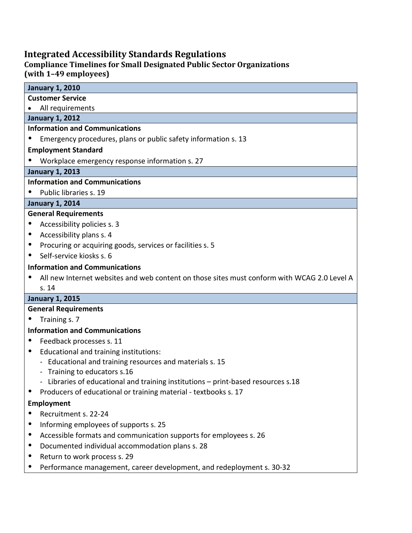## **Integrated Accessibility Standards Regulations**

### **Compliance Timelines for Small Designated Public Sector Organizations (with 1–49 employees)**

## **January 1, 2010 Customer Service** • All requirements **January 1, 2012 Information and Communications**

Emergency procedures, plans or public safety information s. 13

## **Employment Standard**

Workplace emergency response information s. 27

## **January 1, 2013**

## **Information and Communications**

Public libraries s. 19

# **January 1, 2014**

## **General Requirements**

- Accessibility policies s. 3
- Accessibility plans s. 4
- Procuring or acquiring goods, services or facilities s. 5
- Self-service kiosks s. 6

# **Information and Communications**

 All new Internet websites and web content on those sites must conform with WCAG 2.0 Level A s. 14

# **January 1, 2015**

## **General Requirements**

Training s. 7

# **Information and Communications**

- Feedback processes s. 11
- Educational and training institutions:
	- Educational and training resources and materials s. 15
	- Training to educators s.16
	- Libraries of educational and training institutions print-based resources s.18
- Producers of educational or training material textbooks s. 17

# **Employment**

- Recruitment s. 22-24
- Informing employees of supports s. 25
- Accessible formats and communication supports for employees s. 26
- Documented individual accommodation plans s. 28
- Return to work process s. 29
- Performance management, career development, and redeployment s. 30-32